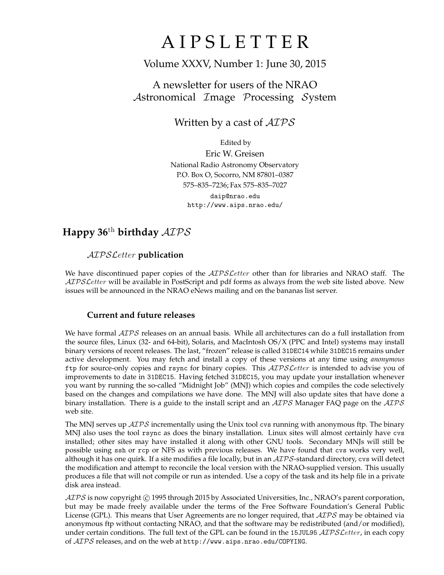# **AIPSLETTER**

## Volume XXXV, Number 1: June 30, 2015

## A newsletter for users of the NRAO Astronomical Image Processing System

## Written by a cast of  $AIPS$

Edited by Eric W. Greisen National Radio Astronomy Observatory P.O. Box O, Socorro, NM 87801–0387 575–835–7236; Fax 575–835–7027 daip@nrao.edu http://www.aips.nrao.edu/

## **Happy 36**th **birthday** AIPS

## AIPSLetter **publication**

We have discontinued paper copies of the *AIPS Letter* other than for libraries and NRAO staff. The AIPS Letter will be available in PostScript and pdf forms as always from the web site listed above. New issues will be announced in the NRAO eNews mailing and on the bananas list server.

### **Current and future releases**

We have formal  $AIPS$  releases on an annual basis. While all architectures can do a full installation from the source files, Linux (32- and 64-bit), Solaris, and MacIntosh OS/X (PPC and Intel) systems may install binary versions of recent releases. The last, "frozen" release is called 31DEC14 while 31DEC15 remains under active development. You may fetch and install a copy of these versions at any time using *anonymous* ftp for source-only copies and rsync for binary copies. This  $ATPSLetter$  is intended to advise you of improvements to date in 31DEC15. Having fetched 31DEC15, you may update your installation whenever you want by running the so-called "Midnight Job" (MNJ) which copies and compiles the code selectively based on the changes and compilations we have done. The MNJ will also update sites that have done a binary installation. There is a guide to the install script and an  $AIPS$  Manager FAQ page on the  $AIPS$ web site.

The MNJ serves up  $AIPS$  incrementally using the Unix tool cvs running with anonymous ftp. The binary MNJ also uses the tool rsync as does the binary installation. Linux sites will almost certainly have cvs installed; other sites may have installed it along with other GNU tools. Secondary MNJs will still be possible using ssh or rcp or NFS as with previous releases. We have found that cvs works very well, although it has one quirk. If a site modifies a file locally, but in an  $AIPS$ -standard directory, cvs will detect the modification and attempt to reconcile the local version with the NRAO-supplied version. This usually produces a file that will not compile or run as intended. Use a copy of the task and its help file in a private disk area instead.

 $ATPS$  is now copyright  $\odot$  1995 through 2015 by Associated Universities, Inc., NRAO's parent corporation, but may be made freely available under the terms of the Free Software Foundation's General Public License (GPL). This means that User Agreements are no longer required, that  $\mathcal{AIPS}$  may be obtained via anonymous ftp without contacting NRAO, and that the software may be redistributed (and/or modified), under certain conditions. The full text of the GPL can be found in the 15JUL95  $\mathcal{AIPS}$  *Cetter*, in each copy of AIPS releases, and on the web at http://www.aips.nrao.edu/COPYING.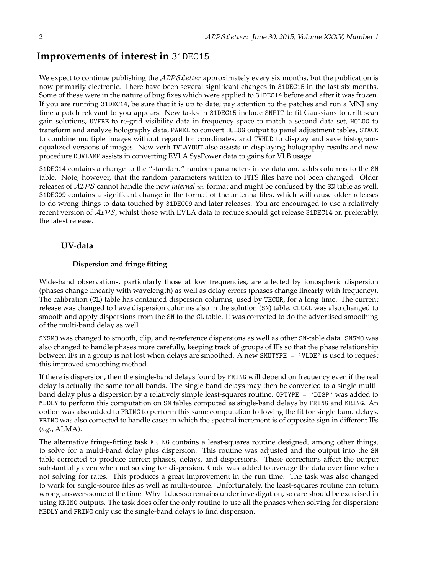## **Improvements of interest in** 31DEC15

We expect to continue publishing the  $\mathcal{AIPSLetter}$  approximately every six months, but the publication is now primarily electronic. There have been several significant changes in 31DEC15 in the last six months. Some of these were in the nature of bug fixes which were applied to 31DEC14 before and after it was frozen. If you are running 31DEC14, be sure that it is up to date; pay attention to the patches and run a MNJ any time a patch relevant to you appears. New tasks in 31DEC15 include SNFIT to fit Gaussians to drift-scan gain solutions, UVFRE to re-grid visibility data in frequency space to match a second data set, HOLOG to transform and analyze holography data, PANEL to convert HOLOG output to panel adjustment tables, STACK to combine multiple images without regard for coordinates, and TVHLD to display and save histogramequalized versions of images. New verb TVLAYOUT also assists in displaying holography results and new procedure DOVLAMP assists in converting EVLA SysPower data to gains for VLB usage.

31DEC14 contains a change to the "standard" random parameters in  $uv$  data and adds columns to the SN table. Note, however, that the random parameters written to FITS files have not been changed. Older releases of AIPS cannot handle the new *internal* uv format and might be confused by the SN table as well. 31DEC09 contains a significant change in the format of the antenna files, which will cause older releases to do wrong things to data touched by 31DEC09 and later releases. You are encouraged to use a relatively recent version of AIPS, whilst those with EVLA data to reduce should get release 31DEC14 or, preferably, the latest release.

### **UV-data**

#### **Dispersion and fringe fitting**

Wide-band observations, particularly those at low frequencies, are affected by ionospheric dispersion (phases change linearly with wavelength) as well as delay errors (phases change linearly with frequency). The calibration (CL) table has contained dispersion columns, used by TECOR, for a long time. The current release was changed to have dispersion columns also in the solution (SN) table. CLCAL was also changed to smooth and apply dispersions from the SN to the CL table. It was corrected to do the advertised smoothing of the multi-band delay as well.

SNSMO was changed to smooth, clip, and re-reference dispersions as well as other SN-table data. SNSMO was also changed to handle phases more carefully, keeping track of groups of IFs so that the phase relationship between IFs in a group is not lost when delays are smoothed. A new SMOTYPE = 'VLDE' is used to request this improved smoothing method.

If there is dispersion, then the single-band delays found by FRING will depend on frequency even if the real delay is actually the same for all bands. The single-band delays may then be converted to a single multiband delay plus a dispersion by a relatively simple least-squares routine. OPTYPE = 'DISP' was added to MBDLY to perform this computation on SN tables computed as single-band delays by FRING and KRING. An option was also added to FRING to perform this same computation following the fit for single-band delays. FRING was also corrected to handle cases in which the spectral increment is of opposite sign in different IFs (*e.g.*, ALMA).

The alternative fringe-fitting task KRING contains a least-squares routine designed, among other things, to solve for a multi-band delay plus dispersion. This routine was adjusted and the output into the SN table corrected to produce correct phases, delays, and dispersions. These corrections affect the output substantially even when not solving for dispersion. Code was added to average the data over time when not solving for rates. This produces a great improvement in the run time. The task was also changed to work for single-source files as well as multi-source. Unfortunately, the least-squares routine can return wrong answers some of the time. Why it does so remains under investigation, so care should be exercised in using KRING outputs. The task does offer the only routine to use all the phases when solving for dispersion; MBDLY and FRING only use the single-band delays to find dispersion.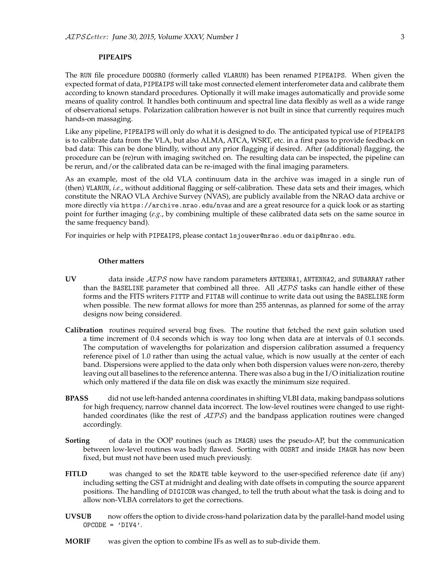#### **PIPEAIPS**

The RUN file procedure DOOSRO (formerly called VLARUN) has been renamed PIPEAIPS. When given the expected format of data, PIPEAIPS will take most connected element interferometer data and calibrate them according to known standard procedures. Optionally it will make images automatically and provide some means of quality control. It handles both continuum and spectral line data flexibly as well as a wide range of observational setups. Polarization calibration however is not built in since that currently requires much hands-on massaging.

Like any pipeline, PIPEAIPS will only do what it is designed to do. The anticipated typical use of PIPEAIPS is to calibrate data from the VLA, but also ALMA, ATCA, WSRT, etc. in a first pass to provide feedback on bad data: This can be done blindly, without any prior flagging if desired. After (additional) flagging, the procedure can be (re)run with imaging switched on. The resulting data can be inspected, the pipeline can be rerun, and/or the calibrated data can be re-imaged with the final imaging parameters.

As an example, most of the old VLA continuum data in the archive was imaged in a single run of (then) VLARUN, *i.e.*, without additional flagging or self-calibration. These data sets and their images, which constitute the NRAO VLA Archive Survey (NVAS), are publicly available from the NRAO data archive or more directly via https://archive.nrao.edu/nvas and are a great resource for a quick look or as starting point for further imaging (*e.g.*, by combining multiple of these calibrated data sets on the same source in the same frequency band).

For inquiries or help with PIPEAIPS, please contact lsjouwer@nrao.edu or daip@nrao.edu.

#### **Other matters**

- **UV** data inside AIPS now have random parameters ANTENNA1, ANTENNA2, and SUBARRAY rather than the BASELINE parameter that combined all three. All  $\mathcal{AIPS}$  tasks can handle either of these forms and the FITS writers FITTP and FITAB will continue to write data out using the BASELINE form when possible. The new format allows for more than 255 antennas, as planned for some of the array designs now being considered.
- **Calibration** routines required several bug fixes. The routine that fetched the next gain solution used a time increment of 0.4 seconds which is way too long when data are at intervals of 0.1 seconds. The computation of wavelengths for polarization and dispersion calibration assumed a frequency reference pixel of 1.0 rather than using the actual value, which is now usually at the center of each band. Dispersions were applied to the data only when both dispersion values were non-zero, thereby leaving out all baselines to the reference antenna. There was also a bug in the I/O initialization routine which only mattered if the data file on disk was exactly the minimum size required.
- **BPASS** did not use left-handed antenna coordinates in shifting VLBI data, making bandpass solutions for high frequency, narrow channel data incorrect. The low-level routines were changed to use righthanded coordinates (like the rest of  $\mathcal{AIPS}$ ) and the bandpass application routines were changed accordingly.
- **Sorting** of data in the OOP routines (such as IMAGR) uses the pseudo-AP, but the communication between low-level routines was badly flawed. Sorting with OOSRT and inside IMAGR has now been fixed, but must not have been used much previously.
- **FITLD** was changed to set the RDATE table keyword to the user-specified reference date (if any) including setting the GST at midnight and dealing with date offsets in computing the source apparent positions. The handling of DIGICOR was changed, to tell the truth about what the task is doing and to allow non-VLBA correlators to get the corrections.
- **UVSUB** now offers the option to divide cross-hand polarization data by the parallel-hand model using  $OPCODE = 'DIV4'.$
- **MORIF** was given the option to combine IFs as well as to sub-divide them.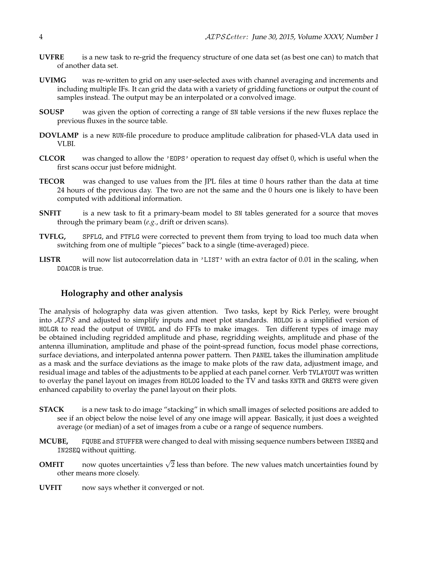- **UVFRE** is a new task to re-grid the frequency structure of one data set (as best one can) to match that of another data set.
- **UVIMG** was re-written to grid on any user-selected axes with channel averaging and increments and including multiple IFs. It can grid the data with a variety of gridding functions or output the count of samples instead. The output may be an interpolated or a convolved image.
- **SOUSP** was given the option of correcting a range of SN table versions if the new fluxes replace the previous fluxes in the source table.
- **DOVLAMP** is a new RUN-file procedure to produce amplitude calibration for phased-VLA data used in VLBI.
- **CLCOR** was changed to allow the 'EOPS' operation to request day offset 0, which is useful when the first scans occur just before midnight.
- **TECOR** was changed to use values from the JPL files at time 0 hours rather than the data at time 24 hours of the previous day. The two are not the same and the 0 hours one is likely to have been computed with additional information.
- **SNFIT** is a new task to fit a primary-beam model to SN tables generated for a source that moves through the primary beam (*e.g.*, drift or driven scans).
- **TVFLG,** SPFLG, and FTFLG were corrected to prevent them from trying to load too much data when switching from one of multiple "pieces" back to a single (time-averaged) piece.
- LISTR will now list autocorrelation data in 'LIST' with an extra factor of 0.01 in the scaling, when DOACOR is true.

#### **Holography and other analysis**

The analysis of holography data was given attention. Two tasks, kept by Rick Perley, were brought into AIPS and adjusted to simplify inputs and meet plot standards. HOLOG is a simplified version of HOLGR to read the output of UVHOL and do FFTs to make images. Ten different types of image may be obtained including regridded amplitude and phase, regridding weights, amplitude and phase of the antenna illumination, amplitude and phase of the point-spread function, focus model phase corrections, surface deviations, and interpolated antenna power pattern. Then PANEL takes the illumination amplitude as a mask and the surface deviations as the image to make plots of the raw data, adjustment image, and residual image and tables of the adjustments to be applied at each panel corner. Verb TVLAYOUT was written to overlay the panel layout on images from HOLOG loaded to the TV and tasks KNTR and GREYS were given enhanced capability to overlay the panel layout on their plots.

- **STACK** is a new task to do image "stacking" in which small images of selected positions are added to see if an object below the noise level of any one image will appear. Basically, it just does a weighted average (or median) of a set of images from a cube or a range of sequence numbers.
- **MCUBE,** FQUBE and STUFFER were changed to deal with missing sequence numbers between INSEQ and IN2SEQ without quitting.
- **OMFIT** now quotes uncertainties  $\sqrt{2}$  less than before. The new values match uncertainties found by other means more closely.
- **UVFIT** now says whether it converged or not.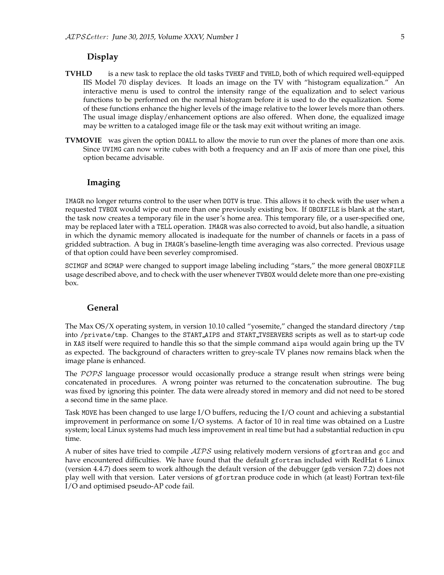#### **Display**

- **TVHLD** is a new task to replace the old tasks TVHXF and TVHLD, both of which required well-equipped IIS Model 70 display devices. It loads an image on the TV with "histogram equalization." An interactive menu is used to control the intensity range of the equalization and to select various functions to be performed on the normal histogram before it is used to do the equalization. Some of these functions enhance the higher levels of the image relative to the lower levels more than others. The usual image display/enhancement options are also offered. When done, the equalized image may be written to a cataloged image file or the task may exit without writing an image.
- **TVMOVIE** was given the option DOALL to allow the movie to run over the planes of more than one axis. Since UVIMG can now write cubes with both a frequency and an IF axis of more than one pixel, this option became advisable.

#### **Imaging**

IMAGR no longer returns control to the user when DOTV is true. This allows it to check with the user when a requested TVBOX would wipe out more than one previously existing box. If OBOXFILE is blank at the start, the task now creates a temporary file in the user's home area. This temporary file, or a user-specified one, may be replaced later with a TELL operation. IMAGR was also corrected to avoid, but also handle, a situation in which the dynamic memory allocated is inadequate for the number of channels or facets in a pass of gridded subtraction. A bug in IMAGR's baseline-length time averaging was also corrected. Previous usage of that option could have been severley compromised.

SCIMGF and SCMAP were changed to support image labeling including "stars," the more general OBOXFILE usage described above, and to check with the user whenever TVBOX would delete more than one pre-existing box.

#### **General**

The Max OS/X operating system, in version 10.10 called "yosemite," changed the standard directory /tmp into /private/tmp. Changes to the START AIPS and START TVSERVERS scripts as well as to start-up code in XAS itself were required to handle this so that the simple command aips would again bring up the TV as expected. The background of characters written to grey-scale TV planes now remains black when the image plane is enhanced.

The POPS language processor would occasionally produce a strange result when strings were being concatenated in procedures. A wrong pointer was returned to the concatenation subroutine. The bug was fixed by ignoring this pointer. The data were already stored in memory and did not need to be stored a second time in the same place.

Task MOVE has been changed to use large I/O buffers, reducing the I/O count and achieving a substantial improvement in performance on some I/O systems. A factor of 10 in real time was obtained on a Lustre system; local Linux systems had much less improvement in real time but had a substantial reduction in cpu time.

A nuber of sites have tried to compile  $ATPS$  using relatively modern versions of gfortran and gcc and have encountered difficulties. We have found that the default gfortran included with RedHat 6 Linux (version 4.4.7) does seem to work although the default version of the debugger (gdb version 7.2) does not play well with that version. Later versions of gfortran produce code in which (at least) Fortran text-file I/O and optimised pseudo-AP code fail.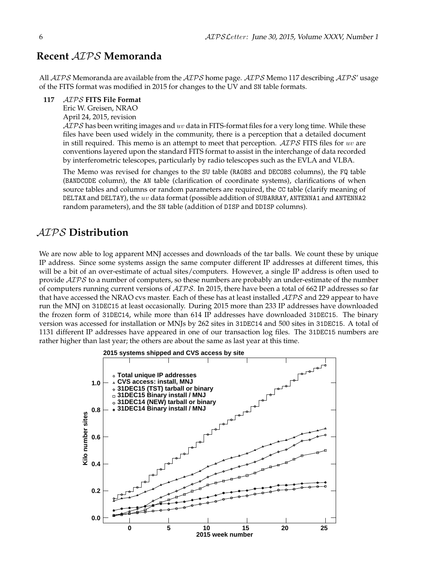## **Recent** AIPS **Memoranda**

All  $AIPS$  Memoranda are available from the  $AIPS$  home page.  $AIPS$  Memo 117 describing  $AIPS'$  usage of the FITS format was modified in 2015 for changes to the UV and SN table formats.

#### **117** AIPS **FITS File Format**

Eric W. Greisen, NRAO

April 24, 2015, revision

 $\mathcal{AIPS}$  has been writing images and w data in FITS-format files for a very long time. While these files have been used widely in the community, there is a perception that a detailed document in still required. This memo is an attempt to meet that perception.  $\mathcal{AIPS}$  FITS files for uv are conventions layered upon the standard FITS format to assist in the interchange of data recorded by interferometric telescopes, particularly by radio telescopes such as the EVLA and VLBA.

The Memo was revised for changes to the SU table (RAOBS and DECOBS columns), the FQ table (BANDCODE column), the AN table (clarification of coordinate systems), clarifications of when source tables and columns or random parameters are required, the CC table (clarify meaning of DELTAX and DELTAY), the  $uv$  data format (possible addition of SUBARRAY, ANTENNA1 and ANTENNA2 random parameters), and the SN table (addition of DISP and DDISP columns).

### AIPS **Distribution**

We are now able to log apparent MNJ accesses and downloads of the tar balls. We count these by unique IP address. Since some systems assign the same computer different IP addresses at different times, this will be a bit of an over-estimate of actual sites/computers. However, a single IP address is often used to provide  $ATPS$  to a number of computers, so these numbers are probably an under-estimate of the number of computers running current versions of AIPS. In 2015, there have been a total of 662 IP addresses so far that have accessed the NRAO cvs master. Each of these has at least installed  $\mathcal{AIPS}$  and 229 appear to have run the MNJ on 31DEC15 at least occasionally. During 2015 more than 233 IP addresses have downloaded the frozen form of 31DEC14, while more than 614 IP addresses have downloaded 31DEC15. The binary version was accessed for installation or MNJs by 262 sites in 31DEC14 and 500 sites in 31DEC15. A total of 1131 different IP addresses have appeared in one of our transaction log files. The 31DEC15 numbers are rather higher than last year; the others are about the same as last year at this time.

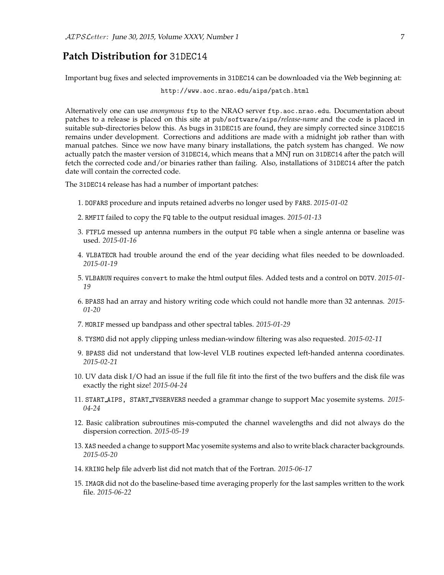### **Patch Distribution for** 31DEC14

Important bug fixes and selected improvements in 31DEC14 can be downloaded via the Web beginning at:

http://www.aoc.nrao.edu/aips/patch.html

Alternatively one can use *anonymous* ftp to the NRAO server ftp.aoc.nrao.edu. Documentation about patches to a release is placed on this site at pub/software/aips/*release-name* and the code is placed in suitable sub-directories below this. As bugs in 31DEC15 are found, they are simply corrected since 31DEC15 remains under development. Corrections and additions are made with a midnight job rather than with manual patches. Since we now have many binary installations, the patch system has changed. We now actually patch the master version of 31DEC14, which means that a MNJ run on 31DEC14 after the patch will fetch the corrected code and/or binaries rather than failing. Also, installations of 31DEC14 after the patch date will contain the corrected code.

The 31DEC14 release has had a number of important patches:

- 1. DOFARS procedure and inputs retained adverbs no longer used by FARS. *2015-01-02*
- 2. RMFIT failed to copy the FQ table to the output residual images. *2015-01-13*
- 3. FTFLG messed up antenna numbers in the output FG table when a single antenna or baseline was used. *2015-01-16*
- 4. VLBATECR had trouble around the end of the year deciding what files needed to be downloaded. *2015-01-19*
- 5. VLBARUN requires convert to make the html output files. Added tests and a control on DOTV. *2015-01- 19*
- 6. BPASS had an array and history writing code which could not handle more than 32 antennas. *2015- 01-20*
- 7. MORIF messed up bandpass and other spectral tables. *2015-01-29*
- 8. TYSMO did not apply clipping unless median-window filtering was also requested. *2015-02-11*
- 9. BPASS did not understand that low-level VLB routines expected left-handed antenna coordinates. *2015-02-21*
- 10. UV data disk I/O had an issue if the full file fit into the first of the two buffers and the disk file was exactly the right size! *2015-04-24*
- 11. START AIPS, START TVSERVERS needed a grammar change to support Mac yosemite systems. *2015- 04-24*
- 12. Basic calibration subroutines mis-computed the channel wavelengths and did not always do the dispersion correction. *2015-05-19*
- 13. XAS needed a change to support Mac yosemite systems and also to write black character backgrounds. *2015-05-20*
- 14. KRING help file adverb list did not match that of the Fortran. *2015-06-17*
- 15. IMAGR did not do the baseline-based time averaging properly for the last samples written to the work file. *2015-06-22*